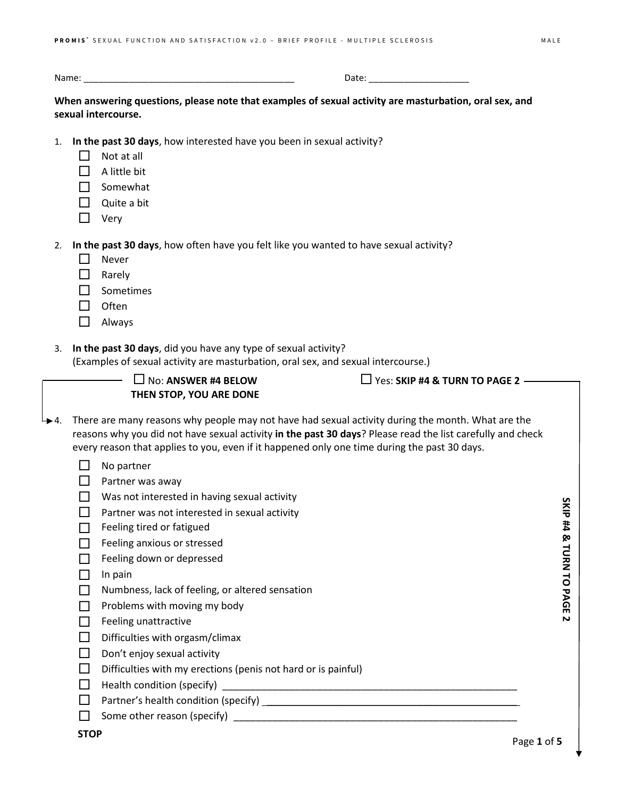Name: \_\_\_\_\_\_\_\_\_\_\_\_\_\_\_\_\_\_\_\_\_\_\_\_\_\_\_\_\_\_\_\_\_\_\_\_\_\_\_\_\_\_ Date: \_\_\_\_\_\_\_\_\_\_\_\_\_\_\_\_\_\_\_\_

**When answering questions, please note that examples of sexual activity are masturbation, oral sex, and sexual intercourse.**

- 1. **In the past 30 days**, how interested have you been in sexual activity?
	- $\Box$  Not at all
	- $\Box$  A little bit
	- $\Box$  Somewhat
	- $\Box$  Quite a bit
	- $\Box$  Very

2. **In the past 30 days**, how often have you felt like you wanted to have sexual activity?

- $\Box$  Never
- **D** Rarely
- $\Box$  Sometimes
- $\Box$  Often
- Always
- 3. **In the past 30 days**, did you have any type of sexual activity?
	- (Examples of sexual activity are masturbation, oral sex, and sexual intercourse.)
		- $\Box$  No: **ANSWER #4 BELOW THEN STOP, YOU ARE DONE**

 $\Box$  Yes: **SKIP #4 & TURN TO PAGE 2**  $-$ 

- $\downarrow$  4. There are many reasons why people may not have had sexual activity during the month. What are the reasons why you did not have sexual activity **in the past 30 days**? Please read the list carefully and check every reason that applies to you, even if it happened only one time during the past 30 days.
	- $\Box$  No partner
	- $\Box$  Partner was away
	- $\Box$  Was not interested in having sexual activity
	- $\Box$  Partner was not interested in sexual activity
	- $\Box$  Feeling tired or fatigued
	- $\Box$  Feeling anxious or stressed
	- $\Box$  Feeling down or depressed
	- $\Box$  In pain
	- $\Box$  Numbness, lack of feeling, or altered sensation
	- $\Box$  Problems with moving my body
	- $\Box$  Feeling unattractive
	- $\Box$  Difficulties with orgasm/climax
	- $\Box$  Don't enjoy sexual activity
	- $\Box$  Difficulties with my erections (penis not hard or is painful)
	- Health condition (specify) \_\_\_\_\_\_\_\_\_\_\_\_\_\_\_\_\_\_\_\_\_\_\_\_\_\_\_\_\_\_\_\_\_\_\_\_\_\_\_\_\_\_\_\_\_\_\_\_\_\_\_\_\_
	- $\Box$  Partner's health condition (specify)  $\Box$
	- $\Box$  Some other reason (specify)

Page **1** of **5**

SKIP #4 & TURN TO PAGE **SKIP #4 & TURN TO PAGE 2**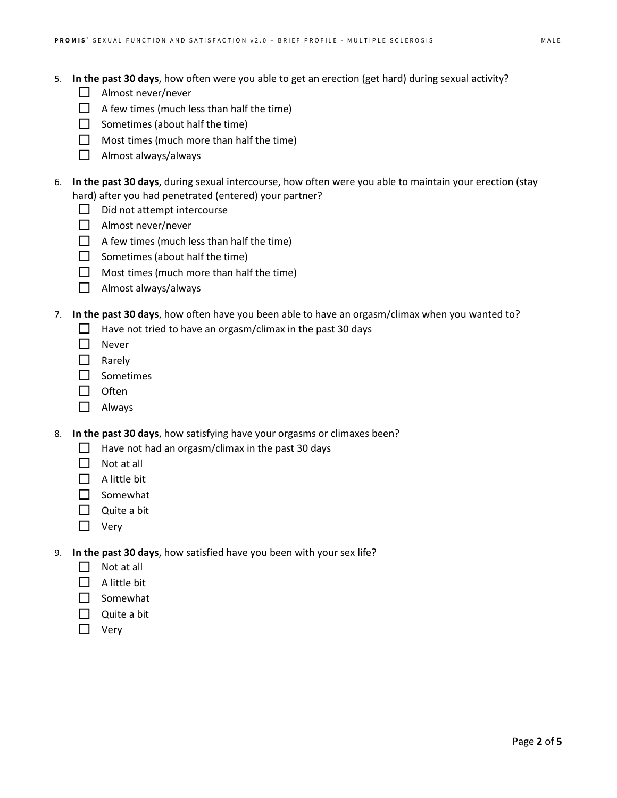- 5. **In the past 30 days**, how often were you able to get an erection (get hard) during sexual activity?
	- $\Box$  Almost never/never
	- $\Box$  A few times (much less than half the time)
	- $\Box$  Sometimes (about half the time)
	- $\Box$  Most times (much more than half the time)
	- Almost always/always
- 6. **In the past 30 days**, during sexual intercourse, how often were you able to maintain your erection (stay hard) after you had penetrated (entered) your partner?
	- $\Box$  Did not attempt intercourse
	- $\Box$  Almost never/never
	- $\Box$  A few times (much less than half the time)
	- $\Box$  Sometimes (about half the time)
	- $\Box$  Most times (much more than half the time)
	- $\Box$  Almost always/always
- 7. **In the past 30 days**, how often have you been able to have an orgasm/climax when you wanted to?
	- $\Box$  Have not tried to have an orgasm/climax in the past 30 days
	- □ Never
	- **Narely**
	- □ Sometimes
	- $\Box$  Often
	- Always
- 8. **In the past 30 days**, how satisfying have your orgasms or climaxes been?
	- $\Box$  Have not had an orgasm/climax in the past 30 days
	- $\Box$  Not at all
	- $\Box$  A little bit
	- $\Box$  Somewhat
	- $\Box$  Quite a bit
	- □ Very
- 9. **In the past 30 days**, how satisfied have you been with your sex life?
	- $\Box$  Not at all
	- $\Box$  A little bit
	- $\Box$  Somewhat
	- $\Box$  Quite a bit
	- $\Box$  Very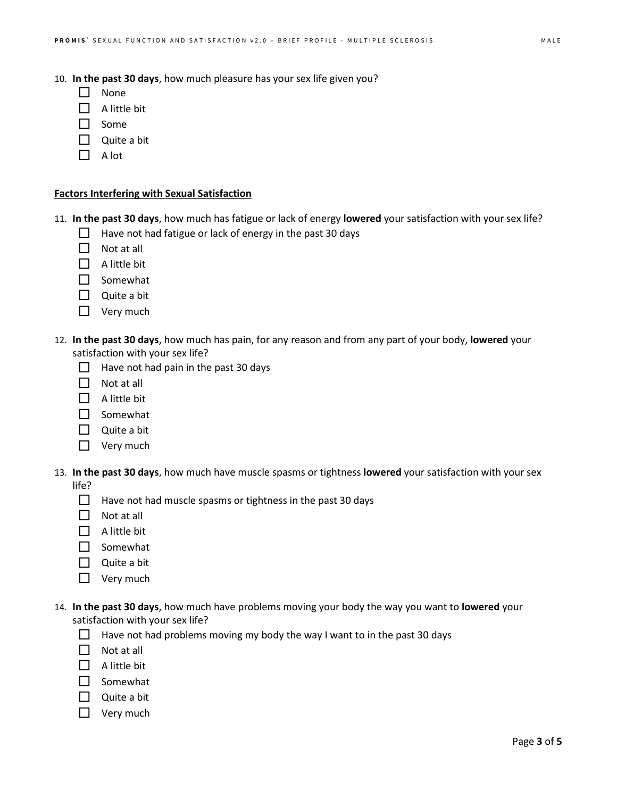- 10. **In the past 30 days**, how much pleasure has your sex life given you?
	- $\Box$  None
	- $\Box$  A little bit
	- $\Box$  Some
	- $\Box$  Quite a bit
	- $\Box$  A lot

## **Factors Interfering with Sexual Satisfaction**

|  | 11. In the past 30 days, how much has fatigue or lack of energy lowered your satisfaction with your sex life? |  |  |  |  |  |  |
|--|---------------------------------------------------------------------------------------------------------------|--|--|--|--|--|--|
|--|---------------------------------------------------------------------------------------------------------------|--|--|--|--|--|--|

- $\Box$  Have not had fatigue or lack of energy in the past 30 days
- $\Box$  Not at all
- $\Box$  A little bit
- □ Somewhat
- $\Box$  Quite a bit
- $\Box$  Very much
- 12. **In the past 30 days**, how much has pain, for any reason and from any part of your body, **lowered** your satisfaction with your sex life?
	- $\Box$  Have not had pain in the past 30 days
	- $\Box$  Not at all
	- $\Box$  A little bit
	- $\Box$  Somewhat
	- $\Box$  Quite a bit
	- $\Box$  Very much
- 13. **In the past 30 days**, how much have muscle spasms or tightness **lowered** your satisfaction with your sex life?
	- $\Box$  Have not had muscle spasms or tightness in the past 30 days
	- $\Box$  Not at all
	- $\Box$  A little bit
	- $\Box$  Somewhat
	- $\Box$  Quite a bit
	- $\Box$  Very much
- 14. **In the past 30 days**, how much have problems moving your body the way you want to **lowered** your satisfaction with your sex life?
	- $\Box$  Have not had problems moving my body the way I want to in the past 30 days
	- $\Box$  Not at all
	- $\Box$  A little bit
	- $\Box$  Somewhat
	- $\Box$  Quite a bit
	- $\Box$  Very much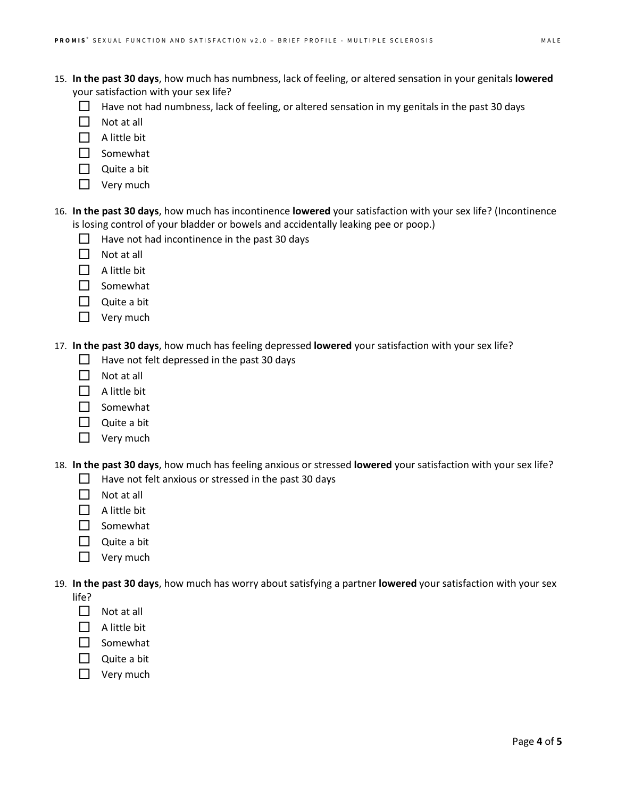- 15. **In the past 30 days**, how much has numbness, lack of feeling, or altered sensation in your genitals **lowered** your satisfaction with your sex life?
	- $\Box$  Have not had numbness, lack of feeling, or altered sensation in my genitals in the past 30 days
	- $\Box$  Not at all
	- $\Box$  A little bit
	- $\Box$  Somewhat
	- Quite a bit
	- $\Box$  Very much
- 16. **In the past 30 days**, how much has incontinence **lowered** your satisfaction with your sex life? (Incontinence is losing control of your bladder or bowels and accidentally leaking pee or poop.)
	- $\Box$  Have not had incontinence in the past 30 days
	- $\Box$  Not at all
	- $\Box$  A little bit
	- $\Box$  Somewhat
	- $\Box$  Quite a bit
	- $\Box$  Very much
- 17. **In the past 30 days**, how much has feeling depressed **lowered** your satisfaction with your sex life?
	- $\Box$  Have not felt depressed in the past 30 days
	- $\Box$  Not at all
	- $\Box$  A little bit
	- $\Box$  Somewhat
	- $\Box$  Quite a bit
	- $\Box$  Very much
- 18. **In the past 30 days**, how much has feeling anxious or stressed **lowered** your satisfaction with your sex life?
	- $\Box$  Have not felt anxious or stressed in the past 30 days
	- $\Box$  Not at all
	- $\Box$  A little bit
	- $\Box$  Somewhat
	- $\Box$  Quite a bit
	- $\Box$  Very much
- 19. **In the past 30 days**, how much has worry about satisfying a partner **lowered** your satisfaction with your sex life?
	- $\Box$  Not at all
	- $\Box$  A little bit
	- $\square$  Somewhat
	- Quite a bit
	- $\Box$  Very much